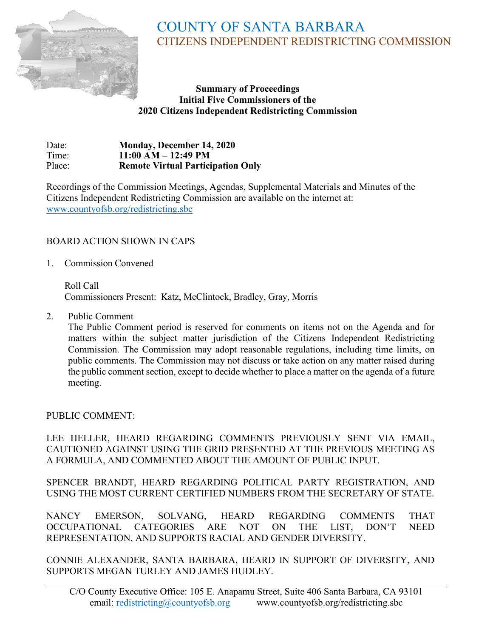

# COUNTY OF SANTA BARBARA CITIZENS INDEPENDENT REDISTRICTING COMMISSION

#### **Summary of Proceedings Initial Five Commissioners of the 2020 Citizens Independent Redistricting Commission**

Date: **Monday, December 14, 2020**<br>Time: **11:00 AM – 12:49 PM** Time: **11:00 AM – 12:49 PM Remote Virtual Participation Only** 

Recordings of the Commission Meetings, Agendas, Supplemental Materials and Minutes of the Citizens Independent Redistricting Commission are available on the internet at: [www.countyofsb.org/redistricting.sbc](http://www.countyofsb.org/redistricting.sbc)

## BOARD ACTION SHOWN IN CAPS

1. Commission Convened

Roll Call Commissioners Present: Katz, McClintock, Bradley, Gray, Morris

2. Public Comment

The Public Comment period is reserved for comments on items not on the Agenda and for matters within the subject matter jurisdiction of the Citizens Independent Redistricting Commission. The Commission may adopt reasonable regulations, including time limits, on public comments. The Commission may not discuss or take action on any matter raised during the public comment section, except to decide whether to place a matter on the agenda of a future meeting.

PUBLIC COMMENT:

LEE HELLER, HEARD REGARDING COMMENTS PREVIOUSLY SENT VIA EMAIL, CAUTIONED AGAINST USING THE GRID PRESENTED AT THE PREVIOUS MEETING AS A FORMULA, AND COMMENTED ABOUT THE AMOUNT OF PUBLIC INPUT.

SPENCER BRANDT, HEARD REGARDING POLITICAL PARTY REGISTRATION, AND USING THE MOST CURRENT CERTIFIED NUMBERS FROM THE SECRETARY OF STATE.

NANCY EMERSON, SOLVANG, HEARD REGARDING COMMENTS THAT OCCUPATIONAL CATEGORIES ARE NOT ON THE LIST, DON'T NEED REPRESENTATION, AND SUPPORTS RACIAL AND GENDER DIVERSITY.

CONNIE ALEXANDER, SANTA BARBARA, HEARD IN SUPPORT OF DIVERSITY, AND SUPPORTS MEGAN TURLEY AND JAMES HUDLEY.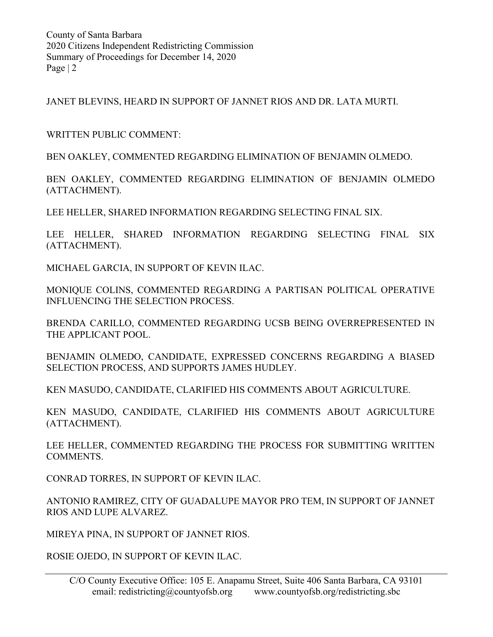JANET BLEVINS, HEARD IN SUPPORT OF JANNET RIOS AND DR. LATA MURTI.

WRITTEN PUBLIC COMMENT:

BEN OAKLEY, COMMENTED REGARDING ELIMINATION OF BENJAMIN OLMEDO.

BEN OAKLEY, COMMENTED REGARDING ELIMINATION OF BENJAMIN OLMEDO (ATTACHMENT).

LEE HELLER, SHARED INFORMATION REGARDING SELECTING FINAL SIX.

LEE HELLER, SHARED INFORMATION REGARDING SELECTING FINAL SIX (ATTACHMENT).

MICHAEL GARCIA, IN SUPPORT OF KEVIN ILAC.

MONIQUE COLINS, COMMENTED REGARDING A PARTISAN POLITICAL OPERATIVE INFLUENCING THE SELECTION PROCESS.

BRENDA CARILLO, COMMENTED REGARDING UCSB BEING OVERREPRESENTED IN THE APPLICANT POOL.

BENJAMIN OLMEDO, CANDIDATE, EXPRESSED CONCERNS REGARDING A BIASED SELECTION PROCESS, AND SUPPORTS JAMES HUDLEY.

KEN MASUDO, CANDIDATE, CLARIFIED HIS COMMENTS ABOUT AGRICULTURE.

KEN MASUDO, CANDIDATE, CLARIFIED HIS COMMENTS ABOUT AGRICULTURE (ATTACHMENT).

LEE HELLER, COMMENTED REGARDING THE PROCESS FOR SUBMITTING WRITTEN COMMENTS.

CONRAD TORRES, IN SUPPORT OF KEVIN ILAC.

ANTONIO RAMIREZ, CITY OF GUADALUPE MAYOR PRO TEM, IN SUPPORT OF JANNET RIOS AND LUPE ALVAREZ.

MIREYA PINA, IN SUPPORT OF JANNET RIOS.

ROSIE OJEDO, IN SUPPORT OF KEVIN ILAC.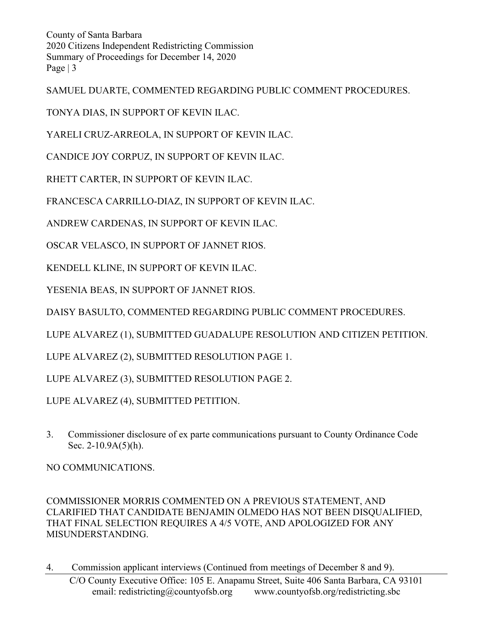SAMUEL DUARTE, COMMENTED REGARDING PUBLIC COMMENT PROCEDURES.

TONYA DIAS, IN SUPPORT OF KEVIN ILAC.

YARELI CRUZ-ARREOLA, IN SUPPORT OF KEVIN ILAC.

CANDICE JOY CORPUZ, IN SUPPORT OF KEVIN ILAC.

RHETT CARTER, IN SUPPORT OF KEVIN ILAC.

FRANCESCA CARRILLO-DIAZ, IN SUPPORT OF KEVIN ILAC.

ANDREW CARDENAS, IN SUPPORT OF KEVIN ILAC.

OSCAR VELASCO, IN SUPPORT OF JANNET RIOS.

KENDELL KLINE, IN SUPPORT OF KEVIN ILAC.

YESENIA BEAS, IN SUPPORT OF JANNET RIOS.

DAISY BASULTO, COMMENTED REGARDING PUBLIC COMMENT PROCEDURES.

LUPE ALVAREZ (1), SUBMITTED GUADALUPE RESOLUTION AND CITIZEN PETITION.

LUPE ALVAREZ (2), SUBMITTED RESOLUTION PAGE 1.

LUPE ALVAREZ (3), SUBMITTED RESOLUTION PAGE 2.

LUPE ALVAREZ (4), SUBMITTED PETITION.

3. Commissioner disclosure of ex parte communications pursuant to County Ordinance Code Sec. 2-10.9A(5)(h).

NO COMMUNICATIONS.

COMMISSIONER MORRIS COMMENTED ON A PREVIOUS STATEMENT, AND CLARIFIED THAT CANDIDATE BENJAMIN OLMEDO HAS NOT BEEN DISQUALIFIED, THAT FINAL SELECTION REQUIRES A 4/5 VOTE, AND APOLOGIZED FOR ANY MISUNDERSTANDING.

4. Commission applicant interviews (Continued from meetings of December 8 and 9).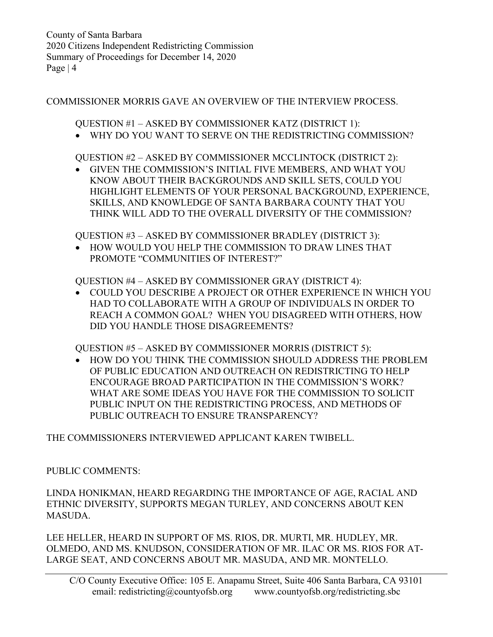#### COMMISSIONER MORRIS GAVE AN OVERVIEW OF THE INTERVIEW PROCESS.

QUESTION #1 – ASKED BY COMMISSIONER KATZ (DISTRICT 1):

• WHY DO YOU WANT TO SERVE ON THE REDISTRICTING COMMISSION?

QUESTION #2 – ASKED BY COMMISSIONER MCCLINTOCK (DISTRICT 2):

• GIVEN THE COMMISSION'S INITIAL FIVE MEMBERS, AND WHAT YOU KNOW ABOUT THEIR BACKGROUNDS AND SKILL SETS, COULD YOU HIGHLIGHT ELEMENTS OF YOUR PERSONAL BACKGROUND, EXPERIENCE, SKILLS, AND KNOWLEDGE OF SANTA BARBARA COUNTY THAT YOU THINK WILL ADD TO THE OVERALL DIVERSITY OF THE COMMISSION?

QUESTION #3 – ASKED BY COMMISSIONER BRADLEY (DISTRICT 3):

• HOW WOULD YOU HELP THE COMMISSION TO DRAW LINES THAT PROMOTE "COMMUNITIES OF INTEREST?"

QUESTION #4 – ASKED BY COMMISSIONER GRAY (DISTRICT 4):

• COULD YOU DESCRIBE A PROJECT OR OTHER EXPERIENCE IN WHICH YOU HAD TO COLLABORATE WITH A GROUP OF INDIVIDUALS IN ORDER TO REACH A COMMON GOAL? WHEN YOU DISAGREED WITH OTHERS, HOW DID YOU HANDLE THOSE DISAGREEMENTS?

QUESTION #5 – ASKED BY COMMISSIONER MORRIS (DISTRICT 5):

• HOW DO YOU THINK THE COMMISSION SHOULD ADDRESS THE PROBLEM OF PUBLIC EDUCATION AND OUTREACH ON REDISTRICTING TO HELP ENCOURAGE BROAD PARTICIPATION IN THE COMMISSION'S WORK? WHAT ARE SOME IDEAS YOU HAVE FOR THE COMMISSION TO SOLICIT PUBLIC INPUT ON THE REDISTRICTING PROCESS, AND METHODS OF PUBLIC OUTREACH TO ENSURE TRANSPARENCY?

THE COMMISSIONERS INTERVIEWED APPLICANT KAREN TWIBELL.

## PUBLIC COMMENTS:

LINDA HONIKMAN, HEARD REGARDING THE IMPORTANCE OF AGE, RACIAL AND ETHNIC DIVERSITY, SUPPORTS MEGAN TURLEY, AND CONCERNS ABOUT KEN MASUDA.

LEE HELLER, HEARD IN SUPPORT OF MS. RIOS, DR. MURTI, MR. HUDLEY, MR. OLMEDO, AND MS. KNUDSON, CONSIDERATION OF MR. ILAC OR MS. RIOS FOR AT-LARGE SEAT, AND CONCERNS ABOUT MR. MASUDA, AND MR. MONTELLO.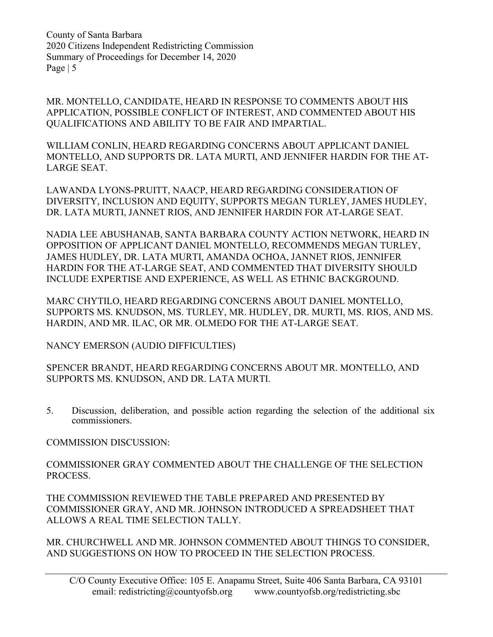MR. MONTELLO, CANDIDATE, HEARD IN RESPONSE TO COMMENTS ABOUT HIS APPLICATION, POSSIBLE CONFLICT OF INTEREST, AND COMMENTED ABOUT HIS QUALIFICATIONS AND ABILITY TO BE FAIR AND IMPARTIAL.

WILLIAM CONLIN, HEARD REGARDING CONCERNS ABOUT APPLICANT DANIEL MONTELLO, AND SUPPORTS DR. LATA MURTI, AND JENNIFER HARDIN FOR THE AT-LARGE SEAT.

LAWANDA LYONS-PRUITT, NAACP, HEARD REGARDING CONSIDERATION OF DIVERSITY, INCLUSION AND EQUITY, SUPPORTS MEGAN TURLEY, JAMES HUDLEY, DR. LATA MURTI, JANNET RIOS, AND JENNIFER HARDIN FOR AT-LARGE SEAT.

NADIA LEE ABUSHANAB, SANTA BARBARA COUNTY ACTION NETWORK, HEARD IN OPPOSITION OF APPLICANT DANIEL MONTELLO, RECOMMENDS MEGAN TURLEY, JAMES HUDLEY, DR. LATA MURTI, AMANDA OCHOA, JANNET RIOS, JENNIFER HARDIN FOR THE AT-LARGE SEAT, AND COMMENTED THAT DIVERSITY SHOULD INCLUDE EXPERTISE AND EXPERIENCE, AS WELL AS ETHNIC BACKGROUND.

MARC CHYTILO, HEARD REGARDING CONCERNS ABOUT DANIEL MONTELLO, SUPPORTS MS. KNUDSON, MS. TURLEY, MR. HUDLEY, DR. MURTI, MS. RIOS, AND MS. HARDIN, AND MR. ILAC, OR MR. OLMEDO FOR THE AT-LARGE SEAT.

NANCY EMERSON (AUDIO DIFFICULTIES)

SPENCER BRANDT, HEARD REGARDING CONCERNS ABOUT MR. MONTELLO, AND SUPPORTS MS. KNUDSON, AND DR. LATA MURTI.

5. Discussion, deliberation, and possible action regarding the selection of the additional six commissioners.

COMMISSION DISCUSSION:

COMMISSIONER GRAY COMMENTED ABOUT THE CHALLENGE OF THE SELECTION PROCESS.

THE COMMISSION REVIEWED THE TABLE PREPARED AND PRESENTED BY COMMISSIONER GRAY, AND MR. JOHNSON INTRODUCED A SPREADSHEET THAT ALLOWS A REAL TIME SELECTION TALLY.

MR. CHURCHWELL AND MR. JOHNSON COMMENTED ABOUT THINGS TO CONSIDER, AND SUGGESTIONS ON HOW TO PROCEED IN THE SELECTION PROCESS.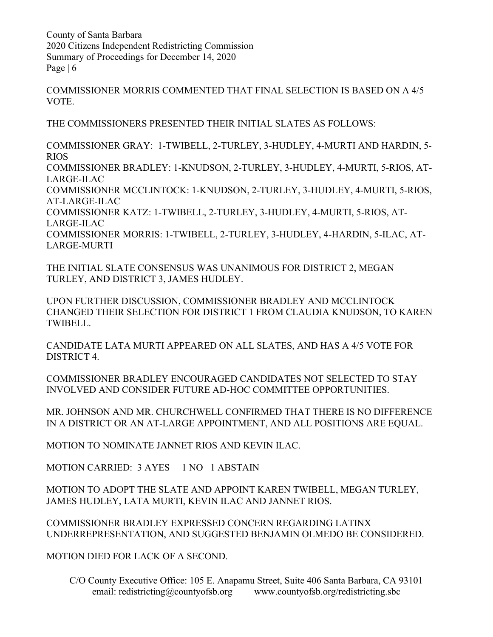COMMISSIONER MORRIS COMMENTED THAT FINAL SELECTION IS BASED ON A 4/5 VOTE.

THE COMMISSIONERS PRESENTED THEIR INITIAL SLATES AS FOLLOWS:

COMMISSIONER GRAY: 1-TWIBELL, 2-TURLEY, 3-HUDLEY, 4-MURTI AND HARDIN, 5- RIOS COMMISSIONER BRADLEY: 1-KNUDSON, 2-TURLEY, 3-HUDLEY, 4-MURTI, 5-RIOS, AT-LARGE-ILAC COMMISSIONER MCCLINTOCK: 1-KNUDSON, 2-TURLEY, 3-HUDLEY, 4-MURTI, 5-RIOS, AT-LARGE-ILAC COMMISSIONER KATZ: 1-TWIBELL, 2-TURLEY, 3-HUDLEY, 4-MURTI, 5-RIOS, AT-LARGE-ILAC COMMISSIONER MORRIS: 1-TWIBELL, 2-TURLEY, 3-HUDLEY, 4-HARDIN, 5-ILAC, AT-LARGE-MURTI

THE INITIAL SLATE CONSENSUS WAS UNANIMOUS FOR DISTRICT 2, MEGAN TURLEY, AND DISTRICT 3, JAMES HUDLEY.

UPON FURTHER DISCUSSION, COMMISSIONER BRADLEY AND MCCLINTOCK CHANGED THEIR SELECTION FOR DISTRICT 1 FROM CLAUDIA KNUDSON, TO KAREN TWIBELL.

CANDIDATE LATA MURTI APPEARED ON ALL SLATES, AND HAS A 4/5 VOTE FOR DISTRICT 4.

COMMISSIONER BRADLEY ENCOURAGED CANDIDATES NOT SELECTED TO STAY INVOLVED AND CONSIDER FUTURE AD-HOC COMMITTEE OPPORTUNITIES.

MR. JOHNSON AND MR. CHURCHWELL CONFIRMED THAT THERE IS NO DIFFERENCE IN A DISTRICT OR AN AT-LARGE APPOINTMENT, AND ALL POSITIONS ARE EQUAL.

MOTION TO NOMINATE JANNET RIOS AND KEVIN ILAC.

MOTION CARRIED: 3 AYES 1 NO 1 ABSTAIN

MOTION TO ADOPT THE SLATE AND APPOINT KAREN TWIBELL, MEGAN TURLEY, JAMES HUDLEY, LATA MURTI, KEVIN ILAC AND JANNET RIOS.

COMMISSIONER BRADLEY EXPRESSED CONCERN REGARDING LATINX UNDERREPRESENTATION, AND SUGGESTED BENJAMIN OLMEDO BE CONSIDERED.

MOTION DIED FOR LACK OF A SECOND.